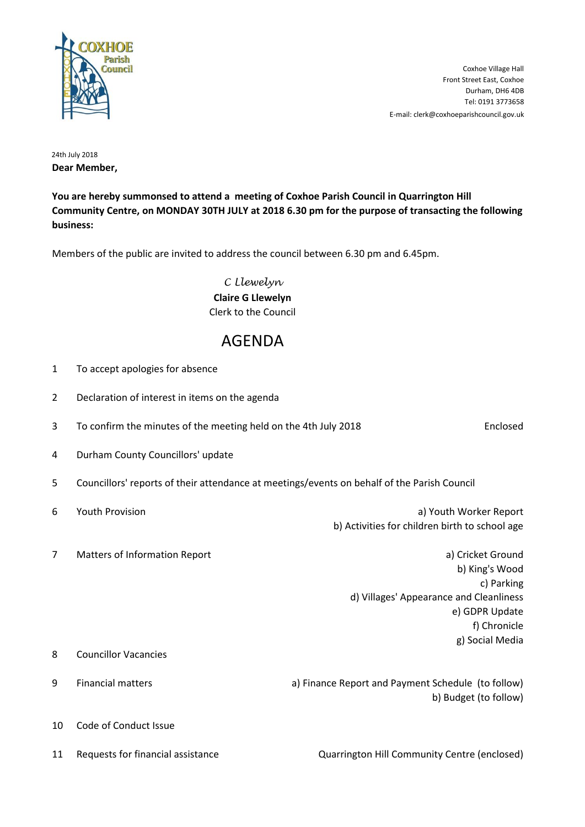

E-mail: clerk@coxhoeparishcouncil.gov.uk Tel: 0191 3773658 Durham, DH6 4DB Front Street East, Coxhoe Coxhoe Village Hall

24th July 2018 **Dear Member,**

**You are hereby summonsed to attend a meeting of Coxhoe Parish Council in Quarrington Hill Community Centre, on MONDAY 30TH JULY at 2018 6.30 pm for the purpose of transacting the following business:**

Members of the public are invited to address the council between 6.30 pm and 6.45pm.

*C Llewelyn* **Claire G Llewelyn** Clerk to the Council

## AGENDA

| $\mathbf{1}$   | To accept apologies for absence                                                             |                                                    |                                                                                                                                                   |
|----------------|---------------------------------------------------------------------------------------------|----------------------------------------------------|---------------------------------------------------------------------------------------------------------------------------------------------------|
| $\overline{2}$ | Declaration of interest in items on the agenda                                              |                                                    |                                                                                                                                                   |
| 3              | To confirm the minutes of the meeting held on the 4th July 2018                             |                                                    | Enclosed                                                                                                                                          |
| 4              | Durham County Councillors' update                                                           |                                                    |                                                                                                                                                   |
| 5              | Councillors' reports of their attendance at meetings/events on behalf of the Parish Council |                                                    |                                                                                                                                                   |
| 6              | <b>Youth Provision</b>                                                                      | b) Activities for children birth to school age     | a) Youth Worker Report                                                                                                                            |
| $\overline{7}$ | Matters of Information Report                                                               |                                                    | a) Cricket Ground<br>b) King's Wood<br>c) Parking<br>d) Villages' Appearance and Cleanliness<br>e) GDPR Update<br>f) Chronicle<br>g) Social Media |
| 8              | <b>Councillor Vacancies</b>                                                                 |                                                    |                                                                                                                                                   |
| 9              | <b>Financial matters</b>                                                                    | a) Finance Report and Payment Schedule (to follow) | b) Budget (to follow)                                                                                                                             |
| 10             | Code of Conduct Issue                                                                       |                                                    |                                                                                                                                                   |
| 11             | Requests for financial assistance                                                           | Quarrington Hill Community Centre (enclosed)       |                                                                                                                                                   |